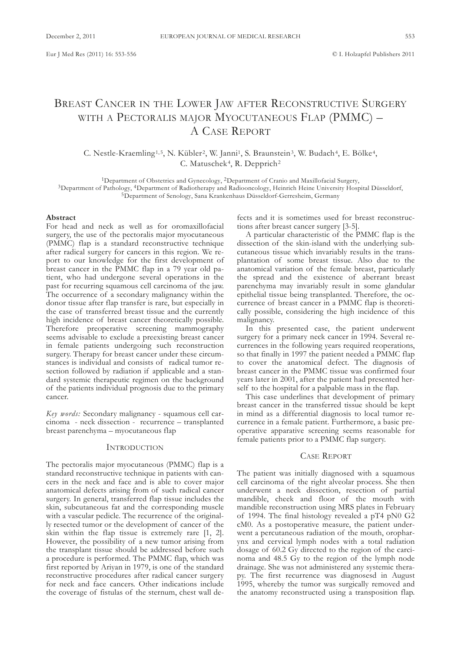# BREAST CANCER IN THE LOWER JAW AFTER RECONSTRUCTIVE SURGERY WITH A PECTORALIS MAJOR MYOCUTANEOUS FLAP (PMMC) a CasE REPoRt

C. Nestle-Kraemling<sup>1,5</sup>, N. Kübler<sup>2</sup>, W. Janni<sup>1</sup>, S. Braunstein<sup>3</sup>, W. Budach<sup>4</sup>, E. Bölke<sup>4</sup>, C. Matuschek<sup>4</sup>, R. Depprich<sup>2</sup>

<sup>1</sup>Department of Obstetrics and Gynecology, <sup>2</sup>Department of Cranio and Maxillofacial Surgery,

<sup>3</sup>Department of Pathology, <sup>4</sup>Department of Radiotherapy and Radiooncology, Heinrich Heine University Hospital Düsseldorf, <sup>5</sup>Department of Senology, Sana Krankenhaus Düsseldorf-Gerresheim, Germany

## **Abstract**

for head and neck as well as for oromaxillofacial surgery, the use of the pectoralis major myocutaneous (PMMC) flap is a standard reconstructive technique after radical surgery for cancers in this region. we report to our knowledge for the first development of breast cancer in the PMMC flap in a 79 year old patient, who had undergone several operations in the past for recurring squamous cell carcinoma of the jaw. The occurrence of a secondary malignancy within the donor tissue after flap transfer is rare, but especially in the case of transferred breast tissue and the currently high incidence of breast cancer theoretically possible. Therefore preoperative screening mammography seems advisable to exclude a preexisting breast cancer in female patients undergoing such reconstruction surgery. Therapy for breast cancer under these circumstances is individual and consists of radical tumor resection followed by radiation if applicable and a standard systemic therapeutic regimen on the background of the patients individual prognosis due to the primary cancer.

*Key words:* secondary malignancy - squamous cell carcinoma - neck dissection - recurrence – transplanted breast parenchyma – myocutaneous flap

## **INTRODUCTION**

The pectoralis major myocutaneous (PMMC) flap is a standard reconstructive technique in patients with cancers in the neck and face and is able to cover major anatomical defects arising from of such radical cancer surgery. In general, transferred flap tissue includes the skin, subcutaneous fat and the corresponding muscle with a vascular pedicle. The recurrence of the originally resected tumor or the development of cancer of the skin within the flap tissue is extremely rare [1, 2]. However, the possibility of a new tumor arising from the transplant tissue should be addressed before such a procedure is performed. the PMMC flap, which was first reported by Ariyan in 1979, is one of the standard reconstructive procedures after radical cancer surgery for neck and face cancers. Other indications include the coverage of fistulas of the sternum, chest wall defects and it is sometimes used for breast reconstructions after breast cancer surgery [3-5].

a particular characteristic of the PMMC flap is the dissection of the skin-island with the underlying subcutaneous tissue which invariably results in the transplantation of some breast tissue. Also due to the anatomical variation of the female breast, particularly the spread and the existence of aberrant breast parenchyma may invariably result in some glandular epithelial tissue being transplanted. Therefore, the occurrence of breast cancer in a PMMC flap is theoretically possible, considering the high incidence of this malignancy.

In this presented case, the patient underwent surgery for a primary neck cancer in 1994. Several recurrences in the following years required reoperations, so that finally in 1997 the patient needed a PMMC flap to cover the anatomical defect. The diagnosis of breast cancer in the PMMC tissue was confirmed four years later in 2001, after the patient had presented herself to the hospital for a palpable mass in the flap.

This case underlines that development of primary breast cancer in the transferred tissue should be kept in mind as a differential diagnosis to local tumor recurrence in a female patient. furthermore, a basic preoperative apparative screening seems reasonable for female patients prior to a PMMC flap surgery.

## CasE REPoRt

The patient was initially diagnosed with a squamous cell carcinoma of the right alveolar process. she then underwent a neck dissection, resection of partial mandible, cheek and floor of the mouth with mandible reconstruction using MRs plates in february of 1994. The final histology revealed a pT4 pN0 G2 cM0. as a postoperative measure, the patient underwent a percutaneous radiation of the mouth, oropharynx and cervical lymph nodes with a total radiation dosage of 60.2 Gy directed to the region of the carcinoma and 48.5 Gy to the region of the lymph node drainage. she was not administered any systemic therapy. The first recurrence was diagnosesd in August 1995, whereby the tumor was surgically removed and the anatomy reconstructed using a transposition flap.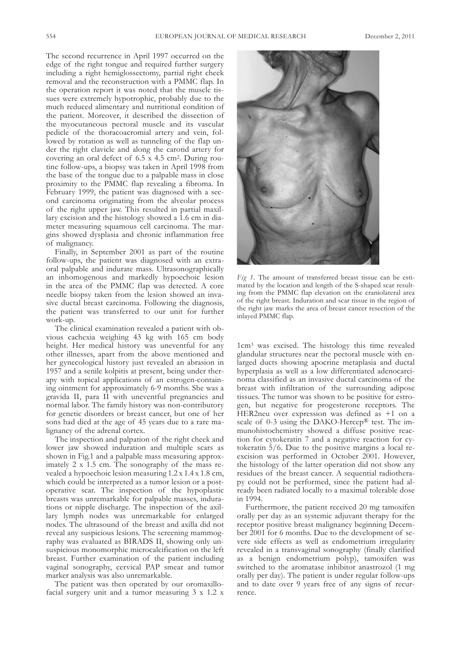The second recurrence in April 1997 occurred on the edge of the right tongue and required further surgery including a right hemiglossectomy, partial right cheek removal and the reconstruction with a PMMC flap. In the operation report it was noted that the muscle tissues were extremely hypotrophic, probably due to the much reduced alimentary and nutritional condition of the patient. Moreover, it described the dissection of the myocutaneous pectoral muscle and its vascular pedicle of the thoracoacromial artery and vein, followed by rotation as well as tunneling of the flap under the right clavicle and along the carotid artery for covering an oral defect of 6.5 x 4.5 cm2. During routine follow-ups, a biopsy was taken in April 1998 from the base of the tongue due to a palpable mass in close proximity to the PMMC flap revealing a fibroma. In february 1999, the patient was diagnosed with a second carcinoma originating from the alveolar process of the right upper jaw. This resulted in partial maxillary excision and the histology showed a 1.6 cm in diameter measuring squamous cell carcinoma. The margins showed dysplasia and chronic inflammation free of malignancy.

Finally, in September 2001 as part of the routine follow-ups, the patient was diagnosed with an extraoral palpable and indurate mass. Ultrasonographically an inhomogenous and markedly hypoechoic lesion in the area of the PMMC flap was detected. A core needle biopsy taken from the lesion showed an invasive ductal breast carcinoma. following the diagnosis, the patient was transferred to our unit for further work-up.

The clinical examination revealed a patient with obvious cachexia weighing 43 kg with 165 cm body height. Her medical history was uneventful for any other illnesses, apart from the above mentioned and her gynecological history just revealed an abrasion in 1957 and a senile kolpitis at present, being under therapy with topical applications of an estrogen-containing ointment for approximately 6-9 months. she was a gravida II, para II with uneventful pregnancies and normal labor. The family history was non-contributory for genetic disorders or breast cancer, but one of her sons had died at the age of 45 years due to a rare malignancy of the adrenal cortex.

The inspection and palpation of the right cheek and lower jaw showed induration and multiple scars as shown in fig.1 and a palpable mass measuring approximately  $2 \times 1.5$  cm. The sonography of the mass revealed a hypoechoic lesion measuring 1.2 x 1.4 x 1.8 cm, which could be interpreted as a tumor lesion or a postoperative scar. the inspection of the hypoplastic breasts was unremarkable for palpable masses, indurations or nipple discharge. The inspection of the axillary lymph nodes was unremarkable for enlarged nodes. the ultrasound of the breast and axilla did not reveal any suspicious lesions. The screening mammography was evaluated as BIRADS II, showing only unsuspicious monomorphic microcalcification on the left breast. further examination of the patient including vaginal sonography, cervical PaP smear and tumor marker analysis was also unremarkable.

The patient was then operated by our oromaxillofacial surgery unit and a tumor measuring 3 x 1.2 x



*Fig* 1. The amount of transferred breast tissue can be estimated by the location and length of the S-shaped scar resulting from the PMMC flap elevation on the craniolateral area of the right breast. Induration and scar tissue in the region of the right jaw marks the area of breast cancer resection of the inlayed PMMC flap.

1cm<sup>3</sup> was excised. The histology this time revealed glandular structures near the pectoral muscle with enlarged ducts showing apocrine metaplasia and ductal hyperplasia as well as a low differentiated adenocarcinoma classified as an invasive ductal carcinoma of the breast with infiltration of the surrounding adipose tissues. The tumor was shown to be positive for estrogen, but negative for progesterone receptors. The HER2neu over expression was defined as +1 on a scale of 0-3 using the DAKO-Hercep® test. The immunohistochemistry showed a diffuse positive reaction for cytokeratin 7 and a negative reaction for cytokeratin 5/6. Due to the positive margins a local reexcision was performed in October 2001. However, the histology of the latter operation did not show any residues of the breast cancer. A sequential radiotherapy could not be performed, since the patient had already been radiated locally to a maximal tolerable dose in 1994.

furthermore, the patient received 20 mg tamoxifen orally per day as an systemic adjuvant therapy for the receptor positive breast malignancy beginning December 2001 for 6 months. Due to the development of severe side effects as well as endometrium irregularity revealed in a transvaginal sonography (finally clarified as a benign endometrium polyp), tamoxifen was switched to the aromatase inhibitor anastrozol (1 mg orally per day). The patient is under regular follow-ups and to date over 9 years free of any signs of recurrence.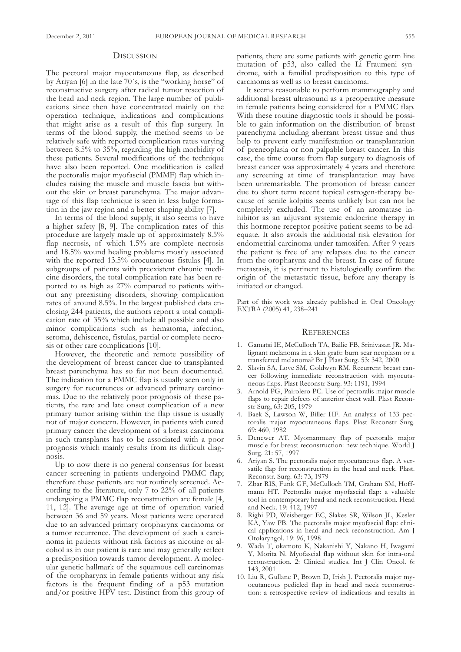### **DISCUSSION**

The pectoral major myocutaneous flap, as described by Ariyan [6] in the late 70's, is the "working horse" of reconstructive surgery after radical tumor resection of the head and neck region. The large number of publications since then have concentrated mainly on the operation technique, indications and complications that might arise as a result of this flap surgery. In terms of the blood supply, the method seems to be relatively safe with reported complication rates varying between 8.5% to 35%, regarding the high morbidity of these patients. several modifications of the technique have also been reported. One modification is called the pectoralis major myofascial (PMMf) flap which includes raising the muscle and muscle fascia but without the skin or breast parenchyma. The major advantage of this flap technique is seen in less bulge formation in the jaw region and a better shaping ability [7].

In terms of the blood supply, it also seems to have a higher safety [8, 9]. The complication rates of this procedure are largely made up of approximately 8.5% flap necrosis, of which 1.5% are complete necrosis and 18.5% wound healing problems mostly associated with the reported 13.5% orocutaneous fistulas [4]. In subgroups of patients with preexistent chronic medicine disorders, the total complication rate has been reported to as high as 27% compared to patients without any preexisting disorders, showing complication rates of around 8.5%. In the largest published data enclosing 244 patients, the authors report a total complication rate of 35% which include all possible and also minor complications such as hematoma, infection, seroma, dehiscence, fistulas, partial or complete necrosis or other rare complications [10].

However, the theoretic and remote possibility of the development of breast cancer due to transplanted breast parenchyma has so far not been documented. The indication for a PMMC flap is usually seen only in surgery for recurrences or advanced primary carcinomas. Due to the relatively poor prognosis of these patients, the rare and late onset complication of a new primary tumor arising within the flap tissue is usually not of major concern. However, in patients with cured primary cancer the development of a breast carcinoma in such transplants has to be associated with a poor prognosis which mainly results from its difficult diagnosis.

Up to now there is no general consensus for breast cancer screening in patients undergoind PMMC flap; therefore these patients are not routinely screened. According to the literature, only 7 to 22% of all patients undergoing a PMMC flap reconstruction are female [4, 11, 12]. The average age at time of operation varied between 36 and 59 years. Most patients were operated due to an advanced primary oropharynx carcinoma or a tumor recurrence. The development of such a carcinoma in patients without risk factors as nicotine or alcohol as in our patient is rare and may generally reflect a predisposition towards tumor development. A molecular genetic hallmark of the squamous cell carcinomas of the oropharynx in female patients without any risk factors is the frequent finding of a p53 mutation and/or positive HPv test. Distinct from this group of patients, there are some patients with genetic germ line mutation of p53, also called the Li fraumeni syndrome, with a familial predisposition to this type of carcinoma as well as to breast carcinoma.

It seems reasonable to perform mammography and additional breast ultrasound as a preoperative measure in female patients being considered for a PMMC flap. with these routine diagnostic tools it should be possible to gain information on the distribution of breast parenchyma including aberrant breast tissue and thus help to prevent early manifestation or transplantation of preneoplasia or non palpable breast cancer. In this case, the time course from flap surgery to diagnosis of breast cancer was approximately 4 years and therefore any screening at time of transplantation may have been unremarkable. The promotion of breast cancer due to short term recent topical estrogen-therapy because of senile kolpitis seems unlikely but can not be completely excluded. the use of an aromatase inhibitor as an adjuvant systemic endocrine therapy in this hormone receptor positive patient seems to be adequate. It also avoids the additional risk elevation for endometrial carcinoma under tamoxifen. After 9 years the patient is free of any relapses due to the cancer from the oropharynx and the breast. In case of future metastasis, it is pertinent to histologically confirm the origin of the metastatic tissue, before any therapy is initiated or changed.

Part of this work was already published in Oral Oncology EXTRA (2005) 41, 238-241

#### **REFERENCES**

- 1. Gamatsi IE, McCulloch TA, Bailie FB, Srinivasan JR. Malignant melanoma in a skin graft: burn scar neoplasm or a transferred melanoma? Br J Plast Surg. 53: 342, 2000
- 2. Slavin SA, Love SM, Goldwyn RM. Recurrent breast cancer following immediate reconstruction with myocutaneous flaps. Plast Reconstr surg. 93: 1191, 1994
- 3. Arnold PG, Pairolero PC. Use of pectoralis major muscle flaps to repair defects of anterior chest wall. Plast Reconstr surg, 63: 205, 1979
- 4. Baek s, Lawson w, Biller Hf. an analysis of 133 pectoralis major myocutaneous flaps. Plast Reconstr surg. 69: 460, 1982
- 5. Denewer AT. Myomammary flap of pectoralis major muscle for breast reconstruction: new technique. world J surg. 21: 57, 1997
- 6. Ariyan S. The pectoralis major myocutaneous flap. A versatile flap for reconstruction in the head and neck. Plast. Reconstr. surg. 63: 73, 1979
- 7. Zbar RIs, funk gf, McCulloch tM, graham sM, Hoffmann Ht. Pectoralis major myofascial flap: a valuable tool in contemporary head and neck reconstruction. Head and Neck. 19: 412, 1997
- 8. Righi PD, weisberger EC, slakes sR, wilson JL, Kesler KA, Yaw PB. The pectoralis major myofascial flap: clinical applications in head and neck reconstruction. Am J otolaryngol. 19: 96, 1998
- 9. Wada T, okamoto K, Nakanishi Y, Nakano H, Iwagami Y, Morita N. Myofascial flap without skin for intra-oral reconstruction. 2: Clinical studies. Int J Clin Oncol. 6: 143, 2001
- 10. Liu R, gullane P, Brown D, Irish J. Pectoralis major myocutaneous pedicled flap in head and neck reconstruction: a retrospective review of indications and results in